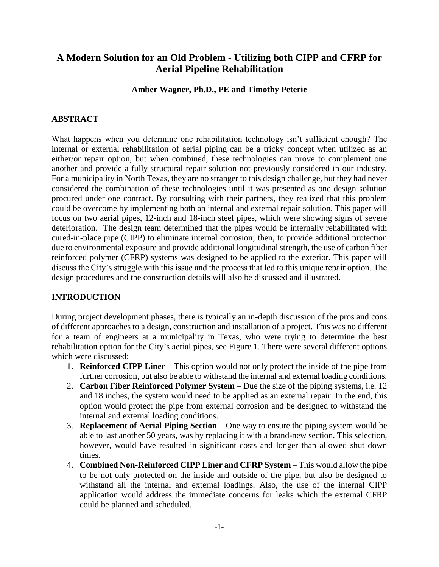# **A Modern Solution for an Old Problem - Utilizing both CIPP and CFRP for Aerial Pipeline Rehabilitation**

**Amber Wagner, Ph.D., PE and Timothy Peterie**

#### **ABSTRACT**

What happens when you determine one rehabilitation technology isn't sufficient enough? The internal or external rehabilitation of aerial piping can be a tricky concept when utilized as an either/or repair option, but when combined, these technologies can prove to complement one another and provide a fully structural repair solution not previously considered in our industry. For a municipality in North Texas, they are no stranger to this design challenge, but they had never considered the combination of these technologies until it was presented as one design solution procured under one contract. By consulting with their partners, they realized that this problem could be overcome by implementing both an internal and external repair solution. This paper will focus on two aerial pipes, 12-inch and 18-inch steel pipes, which were showing signs of severe deterioration. The design team determined that the pipes would be internally rehabilitated with cured-in-place pipe (CIPP) to eliminate internal corrosion; then, to provide additional protection due to environmental exposure and provide additional longitudinal strength, the use of carbon fiber reinforced polymer (CFRP) systems was designed to be applied to the exterior. This paper will discuss the City's struggle with this issue and the process that led to this unique repair option. The design procedures and the construction details will also be discussed and illustrated.

## **INTRODUCTION**

During project development phases, there is typically an in-depth discussion of the pros and cons of different approaches to a design, construction and installation of a project. This was no different for a team of engineers at a municipality in Texas, who were trying to determine the best rehabilitation option for the City's aerial pipes, see Figure 1. There were several different options which were discussed:

- 1. **Reinforced CIPP Liner** This option would not only protect the inside of the pipe from further corrosion, but also be able to withstand the internal and external loading conditions.
- 2. **Carbon Fiber Reinforced Polymer System** Due the size of the piping systems, i.e. 12 and 18 inches, the system would need to be applied as an external repair. In the end, this option would protect the pipe from external corrosion and be designed to withstand the internal and external loading conditions.
- 3. **Replacement of Aerial Piping Section**  One way to ensure the piping system would be able to last another 50 years, was by replacing it with a brand-new section. This selection, however, would have resulted in significant costs and longer than allowed shut down times.
- 4. **Combined Non-Reinforced CIPP Liner and CFRP System** This would allow the pipe to be not only protected on the inside and outside of the pipe, but also be designed to withstand all the internal and external loadings. Also, the use of the internal CIPP application would address the immediate concerns for leaks which the external CFRP could be planned and scheduled.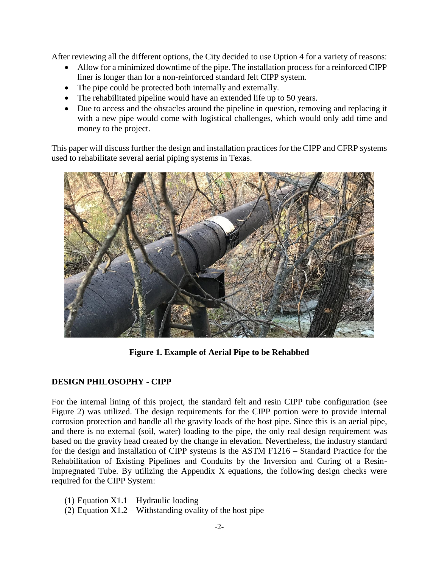After reviewing all the different options, the City decided to use Option 4 for a variety of reasons:

- Allow for a minimized downtime of the pipe. The installation process for a reinforced CIPP liner is longer than for a non-reinforced standard felt CIPP system.
- The pipe could be protected both internally and externally.
- The rehabilitated pipeline would have an extended life up to 50 years.
- Due to access and the obstacles around the pipeline in question, removing and replacing it with a new pipe would come with logistical challenges, which would only add time and money to the project.

This paper will discuss further the design and installation practices for the CIPP and CFRP systems used to rehabilitate several aerial piping systems in Texas.



**Figure 1. Example of Aerial Pipe to be Rehabbed**

## **DESIGN PHILOSOPHY - CIPP**

For the internal lining of this project, the standard felt and resin CIPP tube configuration (see Figure 2) was utilized. The design requirements for the CIPP portion were to provide internal corrosion protection and handle all the gravity loads of the host pipe. Since this is an aerial pipe, and there is no external (soil, water) loading to the pipe, the only real design requirement was based on the gravity head created by the change in elevation. Nevertheless, the industry standard for the design and installation of CIPP systems is the ASTM F1216 – Standard Practice for the Rehabilitation of Existing Pipelines and Conduits by the Inversion and Curing of a Resin-Impregnated Tube. By utilizing the Appendix X equations, the following design checks were required for the CIPP System:

- (1) Equation  $X1.1 Hyd$ raulic loading
- (2) Equation  $X1.2 W$  ithstanding ovality of the host pipe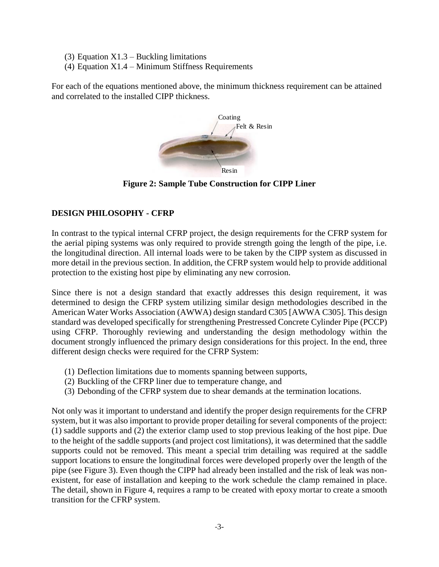- (3) Equation  $X1.3$  Buckling limitations
- (4) Equation  $X1.4 -$  Minimum Stiffness Requirements

For each of the equations mentioned above, the minimum thickness requirement can be attained and correlated to the installed CIPP thickness.



**Figure 2: Sample Tube Construction for CIPP Liner**

### **DESIGN PHILOSOPHY - CFRP**

In contrast to the typical internal CFRP project, the design requirements for the CFRP system for the aerial piping systems was only required to provide strength going the length of the pipe, i.e. the longitudinal direction. All internal loads were to be taken by the CIPP system as discussed in more detail in the previous section. In addition, the CFRP system would help to provide additional protection to the existing host pipe by eliminating any new corrosion.

Since there is not a design standard that exactly addresses this design requirement, it was determined to design the CFRP system utilizing similar design methodologies described in the American Water Works Association (AWWA) design standard C305 [AWWA C305]. This design standard was developed specifically for strengthening Prestressed Concrete Cylinder Pipe (PCCP) using CFRP. Thoroughly reviewing and understanding the design methodology within the document strongly influenced the primary design considerations for this project. In the end, three different design checks were required for the CFRP System:

- (1) Deflection limitations due to moments spanning between supports,
- (2) Buckling of the CFRP liner due to temperature change, and
- (3) Debonding of the CFRP system due to shear demands at the termination locations.

Not only was it important to understand and identify the proper design requirements for the CFRP system, but it was also important to provide proper detailing for several components of the project: (1) saddle supports and (2) the exterior clamp used to stop previous leaking of the host pipe. Due to the height of the saddle supports (and project cost limitations), it was determined that the saddle supports could not be removed. This meant a special trim detailing was required at the saddle support locations to ensure the longitudinal forces were developed properly over the length of the pipe (see Figure 3). Even though the CIPP had already been installed and the risk of leak was nonexistent, for ease of installation and keeping to the work schedule the clamp remained in place. The detail, shown in Figure 4, requires a ramp to be created with epoxy mortar to create a smooth transition for the CFRP system.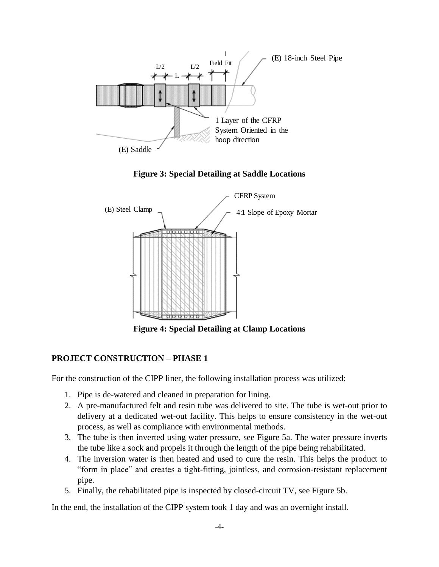

**Figure 3: Special Detailing at Saddle Locations**



**Figure 4: Special Detailing at Clamp Locations**

## **PROJECT CONSTRUCTION – PHASE 1**

For the construction of the CIPP liner, the following installation process was utilized:

- 1. Pipe is de-watered and cleaned in preparation for lining.
- 2. A pre-manufactured felt and resin tube was delivered to site. The tube is wet-out prior to delivery at a dedicated wet-out facility. This helps to ensure consistency in the wet-out process, as well as compliance with environmental methods.
- 3. The tube is then inverted using water pressure, see Figure 5a. The water pressure inverts the tube like a sock and propels it through the length of the pipe being rehabilitated.
- 4. The inversion water is then heated and used to cure the resin. This helps the product to "form in place" and creates a tight-fitting, jointless, and corrosion-resistant replacement pipe.
- 5. Finally, the rehabilitated pipe is inspected by closed-circuit TV, see Figure 5b.

In the end, the installation of the CIPP system took 1 day and was an overnight install.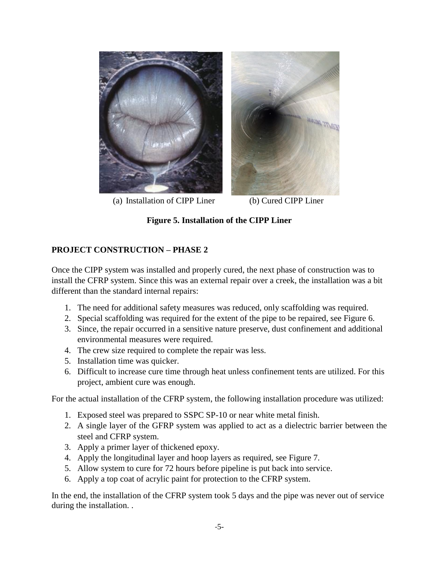

(a) Installation of CIPP Liner (b) Cured CIPP Liner

## **Figure 5. Installation of the CIPP Liner**

### **PROJECT CONSTRUCTION – PHASE 2**

Once the CIPP system was installed and properly cured, the next phase of construction was to install the CFRP system. Since this was an external repair over a creek, the installation was a bit different than the standard internal repairs:

- 1. The need for additional safety measures was reduced, only scaffolding was required.
- 2. Special scaffolding was required for the extent of the pipe to be repaired, see Figure 6.
- 3. Since, the repair occurred in a sensitive nature preserve, dust confinement and additional environmental measures were required.
- 4. The crew size required to complete the repair was less.
- 5. Installation time was quicker.
- 6. Difficult to increase cure time through heat unless confinement tents are utilized. For this project, ambient cure was enough.

For the actual installation of the CFRP system, the following installation procedure was utilized:

- 1. Exposed steel was prepared to SSPC SP-10 or near white metal finish.
- 2. A single layer of the GFRP system was applied to act as a dielectric barrier between the steel and CFRP system.
- 3. Apply a primer layer of thickened epoxy.
- 4. Apply the longitudinal layer and hoop layers as required, see Figure 7.
- 5. Allow system to cure for 72 hours before pipeline is put back into service.
- 6. Apply a top coat of acrylic paint for protection to the CFRP system.

In the end, the installation of the CFRP system took 5 days and the pipe was never out of service during the installation. .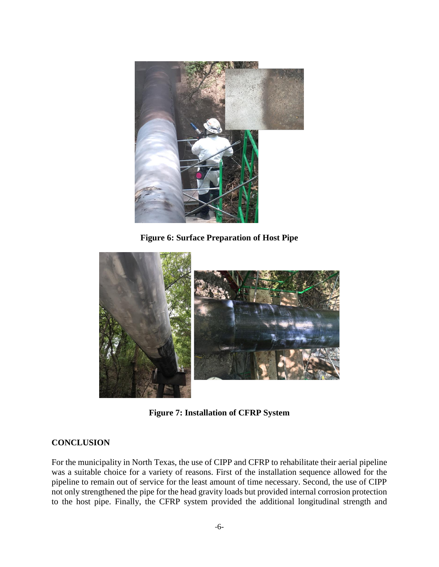

**Figure 6: Surface Preparation of Host Pipe**



**Figure 7: Installation of CFRP System**

#### **CONCLUSION**

For the municipality in North Texas, the use of CIPP and CFRP to rehabilitate their aerial pipeline was a suitable choice for a variety of reasons. First of the installation sequence allowed for the pipeline to remain out of service for the least amount of time necessary. Second, the use of CIPP not only strengthened the pipe for the head gravity loads but provided internal corrosion protection to the host pipe. Finally, the CFRP system provided the additional longitudinal strength and